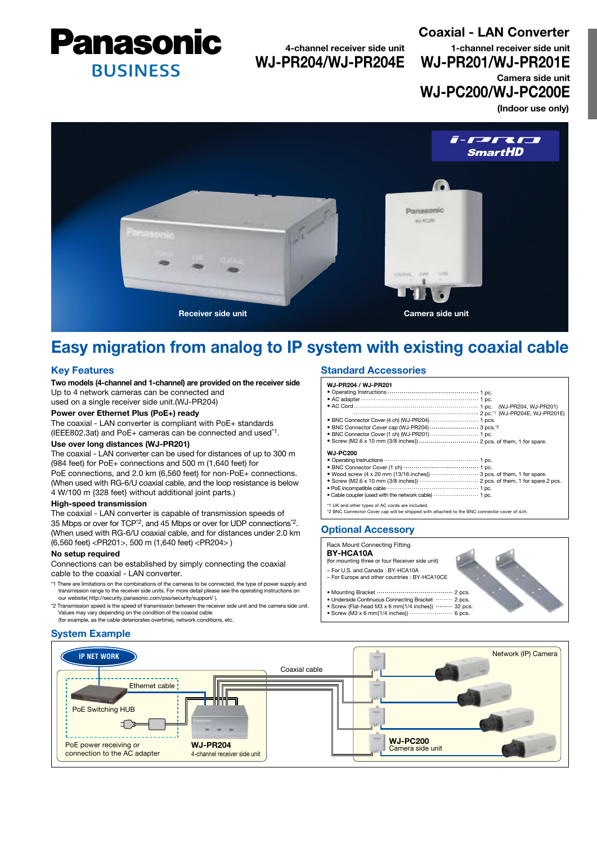

4-channel receiver side unit WJ-PR204/WJ-PR204E Coaxial - LAN Converter (Indoor use only) 1-channel receiver side unit WJ-PR201/WJ-PR201E Camera side unit WJ-PC200/WJ-PC200E



# Easy migration from analog to IP system with existing coaxial cable

# Key Features

Two models (4-channel and 1-channel) are provided on the receiver side Up to 4 network cameras can be connected and

used on a single receiver side unit.(WJ-PR204)

# Power over Ethernet Plus (PoE+) ready

The coaxial - LAN converter is compliant with PoE+ standards (IEEE802.3at) and PoE+ cameras can be connected and used\*1.

# Use over long distances (WJ-PR201)

The coaxial - LAN converter can be used for distances of up to 300 m (984 feet) for PoE+ connections and 500 m (1,640 feet) for PoE connections, and 2.0 km (6,560 feet) for non-PoE+ connections. (When used with RG-6/U coaxial cable, and the loop resistance is below 4 W/100 m {328 feet} without additional joint parts.)

#### High-speed transmission

The coaxial - LAN converter is capable of transmission speeds of 35 Mbps or over for TCP\*2, and 45 Mbps or over for UDP connections\*2. (When used with RG-6/U coaxial cable, and for distances under 2.0 km (6,560 feet) <PR201>, 500 m (1,640 feet) <PR204> )

## No setup required

Connections can be established by simply connecting the coaxial cable to the coaxial - LAN converter.

- \*1 There are limitations on the combinations of the cameras to be connected, the type of power supply and transmission range to the receiver side units. For more detail please see the operating instructions on our website( http://security.panasonic.com/pss/security/support/ ).
- \*2 Transmission speed is the speed of transmission between the receiver side unit and the camera side unit. Values may vary depending on the condition of the coaxial cable (for example, as the cable deteriorates overtime), network conditions, etc.

## System Example

# Standard Accessories

WJ-PR204 / WJ-PR201 • Operating Instructions ...  $\cdots$  1 pc. • AC adapter 1 pc. • AC Cord (WJ-PR204, WJ-PR201) 2 pc.\*1 (WJ-PR204E, WJ-PR201E) • BNC Connector Cover (4 ch) (WJ-PR204) 1 pcs. • BNC Connector Cover cap (WJ-PR204) ........................ 3 pcs."2 • BNC Connector Cover (1 ch) (WJ-PR201) 1 pc. • Screw (M2.6 x 10 mm {3/8 inches}) 2 pcs. of them, 1 for spare. WJ-PC200 1 pc. • Operating Instructions 1 pc. • BNC Connector Cover (1 ch) 3 pcs. of them, 1 for spare. 2 pcs. of them, 1 for spare.2 pcs. • Wood screw (4 x 20 mm {13/16 inches}) • Screw (M2.6 x 10 mm {3/8 inches}) 1 pc. • PoE incompatible cable 1 pc. • Cable coupler (used with the network cable) \*1 UK and other types of AC cords are included. \*2 BNC Connector Cover cap will be shipped with attached to the BNC connector cover of 4ch.

 $2 p$ 

# Optional Accessory

## Rack Mount Connecting Fitting

BY-HCA10A

- (for mounting three or four Receiver side unit)
- For U.S. and Canada : BY-HCA10A
- For Europe and other countries : BY-HCA10CE

#### • Mounting Bracket ·························

- Underside Continuous Connecting Bracket ......... 2 pcs.
- Screw (Flat-head M3 x 6 mm{1/4 inches}) 32 pcs.  $\cdots$  6 pcs.
- Screw (M3 x 6 mm $(1/4 \text{ inches})$ )  $\cdots$

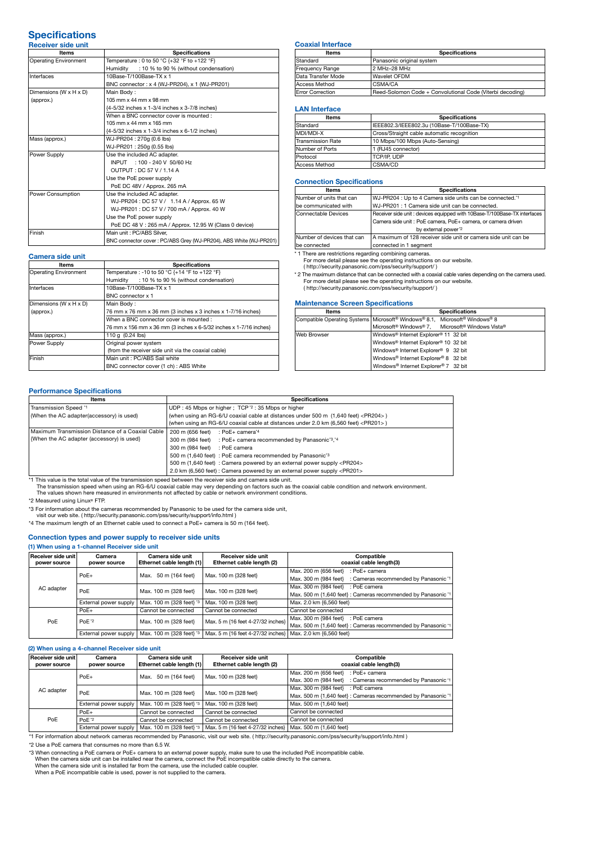#### **Specifications** Receiver side unit

| ltems                        | <b>Specifications</b>                                             |  |  |  |
|------------------------------|-------------------------------------------------------------------|--|--|--|
| <b>Operating Environment</b> | Temperature : 0 to 50 °C {+32 °F to +122 °F}                      |  |  |  |
|                              | Humidity<br>: 10 % to 90 % (without condensation)                 |  |  |  |
| Interfaces                   | 10Base-T/100Base-TX x 1                                           |  |  |  |
|                              | BNC connector: x 4 (WJ-PR204), x 1 (WJ-PR201)                     |  |  |  |
| Dimensions (W x H x D)       | Main Body:                                                        |  |  |  |
| (approx.)                    | 105 mm x 44 mm x 98 mm                                            |  |  |  |
|                              | {4-5/32 inches x 1-3/4 inches x 3-7/8 inches}                     |  |  |  |
|                              | When a BNC connector cover is mounted:                            |  |  |  |
|                              | 105 mm x 44 mm x 165 mm                                           |  |  |  |
|                              | {4-5/32 inches x 1-3/4 inches x 6-1/2 inches}                     |  |  |  |
| Mass (approx.)               | WJ-PR204: 270g (0.6 lbs)                                          |  |  |  |
|                              | WJ-PR201: 250g (0.55 lbs)                                         |  |  |  |
| Power Supply                 | Use the included AC adapter.                                      |  |  |  |
|                              | INPUT : 100 - 240 V 50/60 Hz                                      |  |  |  |
|                              | OUTPUT: DC 57 V / 1.14 A                                          |  |  |  |
|                              | Use the PoE power supply                                          |  |  |  |
|                              | PoE DC 48V / Approx. 265 mA                                       |  |  |  |
| <b>Power Consumption</b>     | Use the included AC adapter.                                      |  |  |  |
|                              | WJ-PR204: DC 57 V / 1.14 A / Approx. 65 W                         |  |  |  |
|                              | WJ-PR201: DC 57 V / 700 mA / Approx. 40 W                         |  |  |  |
|                              | Use the PoE power supply                                          |  |  |  |
|                              | PoE DC 48 V: 265 mA / Approx. 12.95 W (Class 0 device)            |  |  |  |
| Finish                       | Main unit : PC/ABS Silver.                                        |  |  |  |
|                              | BNC connector cover: PC/ABS Grey (WJ-PR204), ABS White (WJ-PR201) |  |  |  |

## Camera side unit

| Items                        | <b>Specifications</b>                                             |  |  |  |
|------------------------------|-------------------------------------------------------------------|--|--|--|
| <b>Operating Environment</b> | Temperature : -10 to 50 °C {+14 °F to +122 °F}                    |  |  |  |
|                              | : 10 % to 90 % (without condensation)<br>Humidity                 |  |  |  |
| Interfaces                   | 10Base-T/100Base-TX x 1                                           |  |  |  |
|                              | BNC connector x 1                                                 |  |  |  |
| Dimensions (W x H x D)       | Main Body:                                                        |  |  |  |
| (approx.)                    | 76 mm x 76 mm x 36 mm {3 inches x 3 inches x 1-7/16 inches}       |  |  |  |
|                              | When a BNC connector cover is mounted:                            |  |  |  |
|                              | 76 mm x 156 mm x 36 mm {3 inches x 6-5/32 inches x 1-7/16 inches} |  |  |  |
| Mass (approx.)               | 110 a (0.24 lbs)                                                  |  |  |  |
| Power Supply                 | Original power system                                             |  |  |  |
|                              | (from the receiver side unit via the coaxial cable)               |  |  |  |
| Finish                       | Main unit: PC/ABS Sail white                                      |  |  |  |
|                              | BNC connector cover (1 ch) : ABS White                            |  |  |  |

#### Coaxial Interface

| <b>Items</b>            | <b>Specifications</b>                                     |  |  |
|-------------------------|-----------------------------------------------------------|--|--|
| Standard                | Panasonic original system                                 |  |  |
| Frequency Range         | 2 MHz-28 MHz                                              |  |  |
| Data Transfer Mode      | Wavelet OFDM                                              |  |  |
| Access Method           | CSMA/CA                                                   |  |  |
| <b>Error Correction</b> | Reed-Solomon Code + Convolutional Code (Viterbi decoding) |  |  |

### LAN Interface

| <b>Items</b>      | <b>Specifications</b>                      |  |  |  |
|-------------------|--------------------------------------------|--|--|--|
| Standard          | IEEE802.3/IEEE802.3u (10Base-T/100Base-TX) |  |  |  |
| MDI/MDI-X         | Cross/Straight cable automatic recognition |  |  |  |
| Transmission Rate | 10 Mbps/100 Mbps (Auto-Sensing)            |  |  |  |
| Number of Ports   | 1 (RJ45 connector)                         |  |  |  |
| Protocol          | TCP/IP, UDP                                |  |  |  |
| Access Method     | CSMA/CD                                    |  |  |  |

#### Connection Specifications

| ltems                      | <b>Specifications</b>                                                    |  |  |  |
|----------------------------|--------------------------------------------------------------------------|--|--|--|
| Number of units that can   | WJ-PR204 : Up to 4 Camera side units can be connected.*1                 |  |  |  |
| be communicated with       | WJ-PR201: 1 Camera side unit can be connected.                           |  |  |  |
| Connectable Devices        | Receiver side unit: devices equipped with 10Base-T/100Base-TX interfaces |  |  |  |
|                            | Camera side unit : PoE camera, PoE+ camera, or camera driven             |  |  |  |
|                            | by external power"2                                                      |  |  |  |
| Number of devices that can | A maximum of 128 receiver side unit or camera side unit can be           |  |  |  |
| be connected               | connected in 1 segment                                                   |  |  |  |
|                            |                                                                          |  |  |  |

\* 1 There are restrictions regarding combining cameras.

For more detail please see the operating instructions on our website. ( http://security.panasonic.com/pss/security/support/ )

\* 2 The maximum distance that can be connected with a coaxial cable varies depending on the camera used. For more detail please see the operating instructions on our website.

( http://security.panasonic.com/pss/security/support/ )

## Maintenance Screen Specifications

| <b>Items</b> | <b>Specifications</b>                                                                |  |  |  |  |
|--------------|--------------------------------------------------------------------------------------|--|--|--|--|
|              | Compatible Operating Systems   Microsoft® Windows® 8.1, Microsoft® Windows® 8        |  |  |  |  |
|              | Microsoft <sup>®</sup> Windows® 7. Microsoft <sup>®</sup> Windows Vista <sup>®</sup> |  |  |  |  |
| Web Browser  | Windows <sup>®</sup> Internet Explorer <sup>®</sup> 11 32 bit                        |  |  |  |  |
|              | Windows <sup>®</sup> Internet Explorer <sup>®</sup> 10 32 bit                        |  |  |  |  |
|              | Windows <sup>®</sup> Internet Explorer <sup>®</sup> 9 32 bit                         |  |  |  |  |
|              | Windows® Internet Explorer® 8 32 bit                                                 |  |  |  |  |
|              | Windows® Internet Explorer® 7 32 bit                                                 |  |  |  |  |

## Performance Specifications

| Items                                            | <b>Specifications</b>                                                                       |  |  |  |
|--------------------------------------------------|---------------------------------------------------------------------------------------------|--|--|--|
| Transmission Speed *1                            | UDP: 45 Mbps or higher; TCP $2:35$ Mbps or higher                                           |  |  |  |
| (When the AC adapter(accessory) is used)         | (when using an RG-6/U coaxial cable at distances under 500 m (1,640 feet) <pr204>)</pr204>  |  |  |  |
|                                                  | (when using an RG-6/U coaxial cable at distances under 2.0 km (6,560 feet) <pr201>)</pr201> |  |  |  |
| Maximum Transmission Distance of a Coaxial Cable | 200 m (656 feet)<br>: PoE+ camera*4                                                         |  |  |  |
| {When the AC adapter (accessory) is used}        | 300 m (984 feet) : PoE+ camera recommended by Panasonic <sup>13</sup> , <sup>14</sup>       |  |  |  |
|                                                  | 300 m (984 feet) : PoE camera                                                               |  |  |  |
|                                                  | 500 m (1,640 feet) : PoE camera recommended by Panasonic <sup>3</sup>                       |  |  |  |
|                                                  | 500 m (1,640 feet) : Camera powered by an external power supply <pr204></pr204>             |  |  |  |
|                                                  | 2.0 km (6,560 feet) : Camera powered by an external power supply <pr201></pr201>            |  |  |  |
|                                                  |                                                                                             |  |  |  |

\*1 This value is the total value of the transmission speed between the receiver side and camera side unit. The transmission speed when using an RG-6/U coaxial cable may very depending on factors such as the coaxial cable condition and network environment.

The values shown here measured in environments not affected by cable or network environment conditions

\*2 Measured using Linux® FTP.

\*3 For information about the cameras recommended by Panasonic to be used for the camera side unit,

visit our web site. ( http://security.panasonic.com/pss/security/support/info.html )

\*4 The maximum length of an Ethernet cable used to connect a PoE+ camera is 50 m (164 feet).

## Connection types and power supply to receiver side units

## (1) When using a 1-channel Receiver side unit

| Receiver side unit<br>power source | Camera<br>power source | Camera side unit<br>Ethernet cable length (1) | Receiver side unit<br>Ethernet cable length (2)            | Compatible<br>coaxial cable length(3)                         |
|------------------------------------|------------------------|-----------------------------------------------|------------------------------------------------------------|---------------------------------------------------------------|
| AC adapter                         | $PoE+$                 | 50 m {164 feet}<br>Max.                       | Max. 100 m {328 feet}                                      | Max. 200 m {656 feet}<br>: PoE+ camera                        |
|                                    |                        |                                               |                                                            | Max. 300 m {984 feet} : Cameras recommended by Panasonic *1   |
|                                    | PoE                    | Max. 100 m {328 feet}                         | Max. 100 m {328 feet}                                      | Max. 300 m {984 feet} : PoE camera                            |
|                                    |                        |                                               |                                                            | Max. 500 m {1,640 feet} : Cameras recommended by Panasonic *1 |
|                                    | External power supply  | Max. 100 m {328 feet} '3                      | Max. 100 m {328 feet}                                      | Max. 2.0 km {6,560 feet}                                      |
|                                    | $PoE+$                 | Cannot be connected                           | Cannot be connected                                        | Cannot be connected                                           |
| PoE                                | PoE <sup>*2</sup>      | Max. 100 m {328 feet}                         | Max. 5 m {16 feet 4-27/32 inches}                          | Max. 300 m {984 feet} : PoE camera                            |
|                                    |                        |                                               |                                                            | Max. 500 m {1,640 feet} : Cameras recommended by Panasonic *1 |
|                                    | External power supply  | Max. 100 m {328 feet} '3                      | Max. 5 m {16 feet 4-27/32 inches} Max. 2.0 km {6,560 feet} |                                                               |

#### (2) When using a 4-channel Receiver side unit

| $\mu$ , which against a channol hoogered onas annu |                        |                                               |                                                 |                                                                |
|----------------------------------------------------|------------------------|-----------------------------------------------|-------------------------------------------------|----------------------------------------------------------------|
| Receiver side unit<br>power source                 | Camera<br>power source | Camera side unit<br>Ethernet cable length (1) | Receiver side unit<br>Ethernet cable length (2) | Compatible<br>coaxial cable length(3)                          |
| AC adapter                                         | $PoE+$                 | Max. 50 m {164 feet}                          | Max. 100 m {328 feet}                           | Max, 200 m {656 feet}<br>: PoE+ camera                         |
|                                                    |                        |                                               |                                                 | : Cameras recommended by Panasonic *1<br>Max, 300 m {984 feet} |
|                                                    | PoE                    | Max. 100 m {328 feet}                         | Max. 100 m {328 feet}                           | Max. 300 m {984 feet} : PoE camera                             |
|                                                    |                        |                                               |                                                 | Max. 500 m {1,640 feet} : Cameras recommended by Panasonic *1  |
|                                                    | External power supply  | Max. 100 m {328 feet} '3                      | Max. 100 m {328 feet}                           | Max. 500 m {1,640 feet}                                        |
| PoE                                                | $PoE+$                 | Cannot be connected                           | Cannot be connected                             | Cannot be connected                                            |
|                                                    | PoE <sup>*2</sup>      | Cannot be connected                           | Cannot be connected                             | Cannot be connected                                            |
|                                                    | External power supply  | Max. 100 m {328 feet} '3                      | Max. 5 m {16 feet 4-27/32 inches}               | Max. 500 m {1,640 feet}                                        |

1 External power supply | Max. 100 m (326 feet) \* | Max. 300 to the station about network cameras recommended by Panasonic, visit our web site. ( http://security.panasonic.com/pss/security/support/info.html )

\*2 Use a PoE camera that consumes no more than 6.5 W.

\*3 When connecting a PoE camera or PoE+ camera to an external power supply, make sure to use the included PoE incompatible cable.<br>When the camera side unit can be installed near the camera, connect the PoE incompatible cab

When a PoE incompatible cable is used, power is not supplied to the camera.